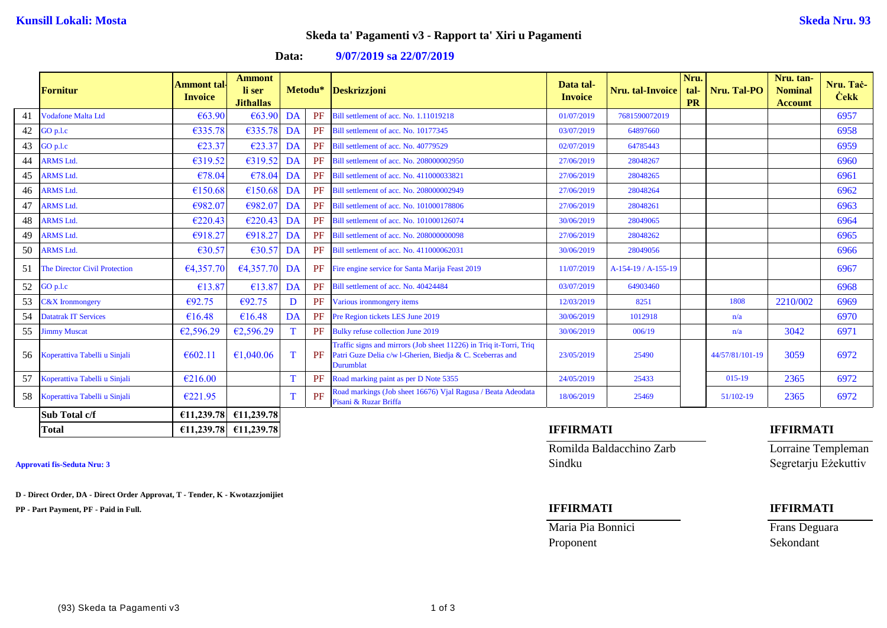# **Skeda ta' Pagamenti v3 - Rapport ta' Xiri u Pagamenti**

**Data: 9/07/2019 sa 22/07/2019**

|    | <b>Fornitur</b>                      | <b>Ammont tal</b><br><b>Invoice</b> | <b>Ammont</b><br>li ser<br><b>Jithallas</b> |    |    | Metodu* Deskrizzjoni                                                                                                                                | Data tal-<br><b>Invoice</b> | Nru. tal-Invoice    | Nru.<br>tal-<br><b>PR</b> | Nru. Tal-PO     | Nru. tan-<br><b>Nominal</b><br><b>Account</b> | Nru. Tač-<br><b>Cekk</b> |
|----|--------------------------------------|-------------------------------------|---------------------------------------------|----|----|-----------------------------------------------------------------------------------------------------------------------------------------------------|-----------------------------|---------------------|---------------------------|-----------------|-----------------------------------------------|--------------------------|
| 41 | <b>Vodafone Malta Ltd</b>            | €63.90                              | €63.90                                      | DA | PF | Bill settlement of acc. No. 1.11019218                                                                                                              | 01/07/2019                  | 7681590072019       |                           |                 |                                               | 6957                     |
| 42 | GO p.l.c                             | €335.78                             | €335.78                                     | DA | PF | Bill settlement of acc. No. 10177345                                                                                                                | 03/07/2019                  | 64897660            |                           |                 |                                               | 6958                     |
| 43 | GO p.l.c                             | €23.37                              | €23.37                                      | DA | PF | Bill settlement of acc. No. 40779529                                                                                                                | 02/07/2019                  | 64785443            |                           |                 |                                               | 6959                     |
| 44 | <b>ARMS Ltd.</b>                     | €319.52                             | €319.52                                     | DA | PF | Bill settlement of acc. No. 208000002950                                                                                                            | 27/06/2019                  | 28048267            |                           |                 |                                               | 6960                     |
| 45 | <b>ARMS Ltd.</b>                     | €78.04                              | €78.04                                      | DA | PF | Bill settlement of acc. No. 411000033821                                                                                                            | 27/06/2019                  | 28048265            |                           |                 |                                               | 6961                     |
| 46 | <b>ARMS Ltd.</b>                     | €150.68                             | €150.68                                     | DA | PF | Bill settlement of acc. No. 208000002949                                                                                                            | 27/06/2019                  | 28048264            |                           |                 |                                               | 6962                     |
| 47 | <b>ARMS Ltd.</b>                     | €982.07                             | €982.07                                     | DA | PF | Bill settlement of acc. No. 101000178806                                                                                                            | 27/06/2019                  | 28048261            |                           |                 |                                               | 6963                     |
| 48 | <b>ARMS Ltd.</b>                     | €220.43                             | $E220.43$ DA                                |    | PF | Bill settlement of acc. No. 101000126074                                                                                                            | 30/06/2019                  | 28049065            |                           |                 |                                               | 6964                     |
| 49 | <b>ARMS Ltd.</b>                     | €918.27                             | €918.27                                     | DA | PF | Bill settlement of acc. No. 208000000098                                                                                                            | 27/06/2019                  | 28048262            |                           |                 |                                               | 6965                     |
| 50 | <b>ARMS Ltd.</b>                     | €30.57                              | $\epsilon$ 30.57                            | DA | PF | Bill settlement of acc. No. 411000062031                                                                                                            | 30/06/2019                  | 28049056            |                           |                 |                                               | 6966                     |
| 51 | <b>The Director Civil Protection</b> | €4,357.70                           | €4,357.70 DA                                |    | PF | Fire engine service for Santa Marija Feast 2019                                                                                                     | 11/07/2019                  | A-154-19 / A-155-19 |                           |                 |                                               | 6967                     |
| 52 | $GO$ p.l.c                           | €13.87                              | €13.87                                      | DA | PF | Bill settlement of acc. No. 40424484                                                                                                                | 03/07/2019                  | 64903460            |                           |                 |                                               | 6968                     |
| 53 | <b>C&amp;X</b> Ironmongery           | €92.75                              | €92.75                                      | D  | PF | Various ironmongery items                                                                                                                           | 12/03/2019                  | 8251                |                           | 1808            | 2210/002                                      | 6969                     |
| 54 | <b>Datatrak IT Services</b>          | €16.48                              | €16.48                                      | DA | PF | Pre Region tickets LES June 2019                                                                                                                    | 30/06/2019                  | 1012918             |                           | n/a             |                                               | 6970                     |
| 55 | <b>Jimmy Muscat</b>                  | €2,596.29                           | €2,596.29                                   | T. | PF | <b>Bulky refuse collection June 2019</b>                                                                                                            | 30/06/2019                  | 006/19              |                           | n/a             | 3042                                          | 6971                     |
| 56 | Koperattiva Tabelli u Sinjali        | € $602.11$                          | €1,040.06                                   | T  | PF | Traffic signs and mirrors (Job sheet 11226) in Triq it-Torri, Triq<br>Patri Guze Delia c/w l-Gherien, Biedja & C. Sceberras and<br><b>Durumblat</b> | 23/05/2019                  | 25490               |                           | 44/57/81/101-19 | 3059                                          | 6972                     |
| 57 | Koperattiva Tabelli u Sinjali        | €216.00                             |                                             | T  | PF | Road marking paint as per D Note 5355                                                                                                               | 24/05/2019                  | 25433               |                           | 015-19          | 2365                                          | 6972                     |
| 58 | Koperattiva Tabelli u Sinjali        | €221.95                             |                                             | T  | PF | Road markings (Job sheet 16676) Vjal Ragusa / Beata Adeodata<br>Pisani & Ruzar Briffa                                                               | 18/06/2019                  | 25469               |                           | 51/102-19       | 2365                                          | 6972                     |
|    | Sub Total c/f                        | €11,239.78                          | €11,239.78                                  |    |    |                                                                                                                                                     |                             |                     |                           |                 |                                               |                          |
|    | <b>Total</b>                         |                                     | €11,239.78 €11,239.78                       |    |    |                                                                                                                                                     | <b>IFFIRMATI</b>            |                     |                           |                 | <b>IFFIRMATI</b>                              |                          |

**D - Direct Order, DA - Direct Order Approvat, T - Tender, K - Kwotazzjonijiet**

**PP - Part Payment, PF - Paid in Full. IFFIRMATI IFFIRMATI**

Romilda Baldacchino Zarb Lorraine Templeman **Approvati fis-Seduta Nru: 3** Sindku Segretarju Eżekuttiv

Maria Pia Bonnici Frans Deguara Proponent Sekondant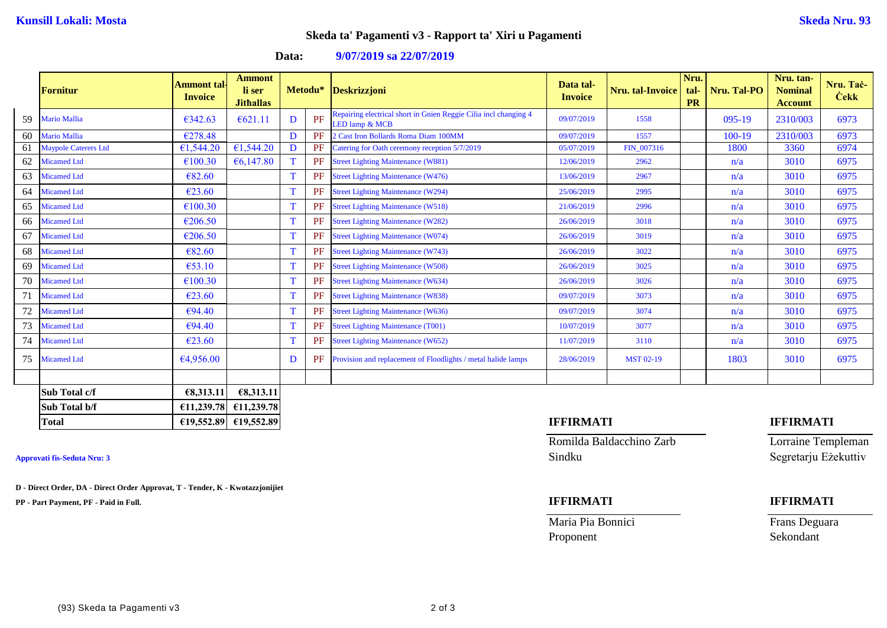## **Skeda ta' Pagamenti v3 - Rapport ta' Xiri u Pagamenti**

**Data: 9/07/2019 sa 22/07/2019**

|    | <b>Fornitur</b>      | Ammont tal·<br><b>Invoice</b> | <b>Ammont</b><br>li ser<br><b>Jithallas</b> |             |    | Metodu* Deskrizzjoni                                                               | Data tal-<br><b>Invoice</b> | Nru. tal-Invoice | Nru.<br>tal-<br><b>PR</b> | Nru. Tal-PO | Nru. tan-<br><b>Nominal</b><br><b>Account</b> | Nru. Tač-<br><b>Cekk</b> |
|----|----------------------|-------------------------------|---------------------------------------------|-------------|----|------------------------------------------------------------------------------------|-----------------------------|------------------|---------------------------|-------------|-----------------------------------------------|--------------------------|
| 59 | Mario Mallia         | €342.63                       | € $621.11$                                  | D           | PF | Repairing electrical short in Gnien Reggie Cilia incl changing 4<br>LED lamp & MCB | 09/07/2019                  | 1558             |                           | 095-19      | 2310/003                                      | 6973                     |
| 60 | Mario Mallia         | €278.48                       |                                             | D           | PF | 2 Cast Iron Bollards Roma Diam 100MM                                               | 09/07/2019                  | 1557             |                           | 100-19      | 2310/003                                      | 6973                     |
| 61 | Maypole Caterers Ltd | €1,544.20                     | €1,544.20                                   | D           | PF | Catering for Oath ceremony reception 5/7/2019                                      | 05/07/2019                  | FIN 007316       |                           | 1800        | 3360                                          | 6974                     |
| 62 | <b>Micamed Ltd</b>   | €100.30                       | €6,147.80                                   | T           | PF | <b>Street Lighting Maintenance (W881)</b>                                          | 12/06/2019                  | 2962             |                           | n/a         | 3010                                          | 6975                     |
| 63 | <b>Micamed Ltd</b>   | €82.60                        |                                             | T           | PF | <b>Street Lighting Maintenance (W476)</b>                                          | 13/06/2019                  | 2967             |                           | n/a         | 3010                                          | 6975                     |
| 64 | <b>Micamed Ltd</b>   | €23.60                        |                                             | T           | PF | <b>Street Lighting Maintenance (W294)</b>                                          | 25/06/2019                  | 2995             |                           | n/a         | 3010                                          | 6975                     |
| 65 | <b>Micamed Ltd</b>   | €100.30                       |                                             | T           | PF | <b>Street Lighting Maintenance (W518)</b>                                          | 21/06/2019                  | 2996             |                           | n/a         | 3010                                          | 6975                     |
| 66 | <b>Micamed Ltd</b>   | €206.50                       |                                             | T           | PF | <b>Street Lighting Maintenance (W282)</b>                                          | 26/06/2019                  | 3018             |                           | n/a         | 3010                                          | 6975                     |
| 67 | <b>Micamed Ltd</b>   | €206.50                       |                                             | T           | PF | <b>Street Lighting Maintenance (W074)</b>                                          | 26/06/2019                  | 3019             |                           | n/a         | 3010                                          | 6975                     |
| 68 | <b>Micamed Ltd</b>   | €82.60                        |                                             | T           | PF | <b>Street Lighting Maintenance (W743)</b>                                          | 26/06/2019                  | 3022             |                           | n/a         | 3010                                          | 6975                     |
| 69 | <b>Micamed Ltd</b>   | €53.10                        |                                             | T           | PF | <b>Street Lighting Maintenance (W508)</b>                                          | 26/06/2019                  | 3025             |                           | n/a         | 3010                                          | 6975                     |
| 70 | <b>Micamed Ltd</b>   | €100.30                       |                                             | T           | PF | <b>Street Lighting Maintenance (W634)</b>                                          | 26/06/2019                  | 3026             |                           | n/a         | 3010                                          | 6975                     |
| 71 | <b>Micamed Ltd</b>   | €23.60                        |                                             | T           | PF | <b>Street Lighting Maintenance (W838)</b>                                          | 09/07/2019                  | 3073             |                           | n/a         | 3010                                          | 6975                     |
| 72 | <b>Micamed Ltd</b>   | €94.40                        |                                             | T           | PF | <b>Street Lighting Maintenance (W636)</b>                                          | 09/07/2019                  | 3074             |                           | n/a         | 3010                                          | 6975                     |
| 73 | <b>Micamed Ltd</b>   | €94.40                        |                                             | T           | PF | <b>Street Lighting Maintenance (T001)</b>                                          | 10/07/2019                  | 3077             |                           | n/a         | 3010                                          | 6975                     |
| 74 | <b>Micamed Ltd</b>   | €23.60                        |                                             | $\mathbf T$ | PF | <b>Street Lighting Maintenance (W652)</b>                                          | 11/07/2019                  | 3110             |                           | n/a         | 3010                                          | 6975                     |
| 75 | <b>Micamed Ltd</b>   | €4,956.00                     |                                             | D           | PF | Provision and replacement of Floodlights / metal halide lamps                      | 28/06/2019                  | <b>MST 02-19</b> |                           | 1803        | 3010                                          | 6975                     |
|    |                      |                               |                                             |             |    |                                                                                    |                             |                  |                           |             |                                               |                          |
|    | Sub Total c/f        | €8,313.11                     | €8,313.11                                   |             |    |                                                                                    |                             |                  |                           |             |                                               |                          |
|    | Sub Total b/f        | €11,239.78                    | €11,239.78                                  |             |    |                                                                                    |                             |                  |                           |             |                                               |                          |
|    | <b>Total</b>         |                               | €19,552.89 €19,552.89                       |             |    |                                                                                    | <b>IFFIRMATI</b>            |                  |                           |             | <b>IFFIRMATI</b>                              |                          |

**D - Direct Order, DA - Direct Order Approvat, T - Tender, K - Kwotazzjonijiet**

**PP - Part Payment, PF - Paid in Full. IFFIRMATI IFFIRMATI**

Romilda Baldacchino Zarb Lorraine Templeman **Approvati fis-Seduta Nru: 3** Sindku Segretarju Eżekuttiv

Maria Pia Bonnici Frans Deguara Proponent Sekondant